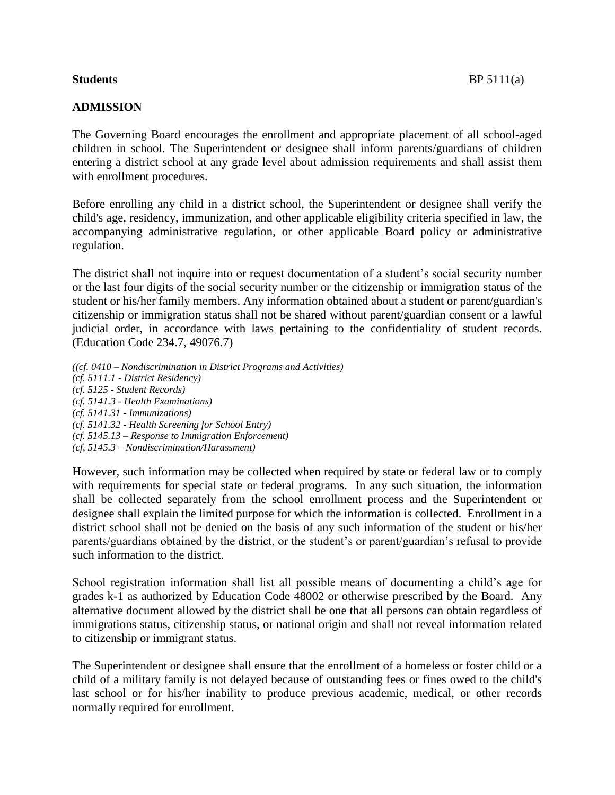## **ADMISSION**

The Governing Board encourages the enrollment and appropriate placement of all school-aged children in school. The Superintendent or designee shall inform parents/guardians of children entering a district school at any grade level about admission requirements and shall assist them with enrollment procedures.

Before enrolling any child in a district school, the Superintendent or designee shall verify the child's age, residency, immunization, and other applicable eligibility criteria specified in law, the accompanying administrative regulation, or other applicable Board policy or administrative regulation.

The district shall not inquire into or request documentation of a student's social security number or the last four digits of the social security number or the citizenship or immigration status of the student or his/her family members. Any information obtained about a student or parent/guardian's citizenship or immigration status shall not be shared without parent/guardian consent or a lawful judicial order, in accordance with laws pertaining to the confidentiality of student records. (Education Code 234.7, 49076.7)

*((cf. 0410 – Nondiscrimination in District Programs and Activities) (cf. 5111.1 - District Residency) (cf. 5125 - Student Records) (cf. 5141.3 - Health Examinations) (cf. 5141.31 - Immunizations) (cf. 5141.32 - Health Screening for School Entry) (cf. 5145.13 – Response to Immigration Enforcement) (cf, 5145.3 – Nondiscrimination/Harassment)*

However, such information may be collected when required by state or federal law or to comply with requirements for special state or federal programs. In any such situation, the information shall be collected separately from the school enrollment process and the Superintendent or designee shall explain the limited purpose for which the information is collected. Enrollment in a district school shall not be denied on the basis of any such information of the student or his/her parents/guardians obtained by the district, or the student's or parent/guardian's refusal to provide such information to the district.

School registration information shall list all possible means of documenting a child's age for grades k-1 as authorized by Education Code 48002 or otherwise prescribed by the Board. Any alternative document allowed by the district shall be one that all persons can obtain regardless of immigrations status, citizenship status, or national origin and shall not reveal information related to citizenship or immigrant status.

The Superintendent or designee shall ensure that the enrollment of a homeless or foster child or a child of a military family is not delayed because of outstanding fees or fines owed to the child's last school or for his/her inability to produce previous academic, medical, or other records normally required for enrollment.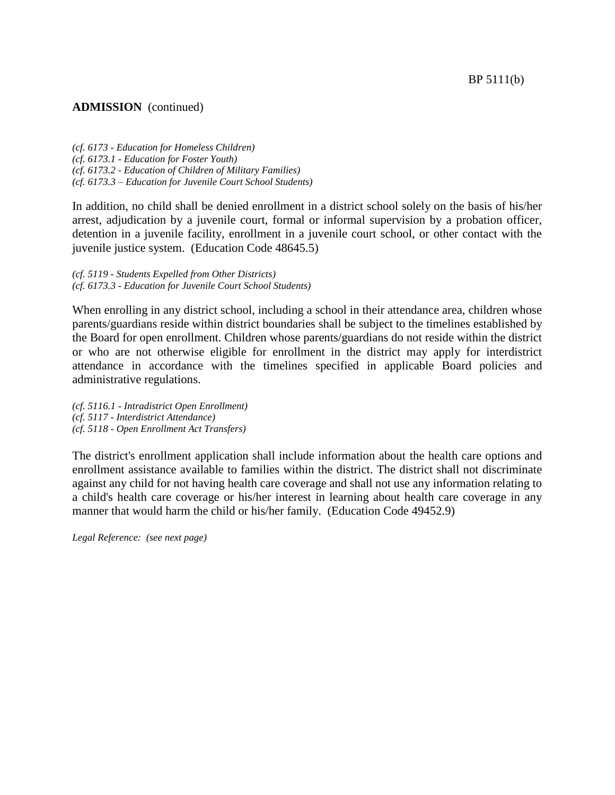#### **ADMISSION** (continued)

*(cf. 6173 - Education for Homeless Children) (cf. 6173.1 - Education for Foster Youth) (cf. 6173.2 - Education of Children of Military Families) (cf. 6173.3 – Education for Juvenile Court School Students)*

In addition, no child shall be denied enrollment in a district school solely on the basis of his/her arrest, adjudication by a juvenile court, formal or informal supervision by a probation officer, detention in a juvenile facility, enrollment in a juvenile court school, or other contact with the juvenile justice system. (Education Code 48645.5)

*(cf. 5119 - Students Expelled from Other Districts) (cf. 6173.3 - Education for Juvenile Court School Students)*

When enrolling in any district school, including a school in their attendance area, children whose parents/guardians reside within district boundaries shall be subject to the timelines established by the Board for open enrollment. Children whose parents/guardians do not reside within the district or who are not otherwise eligible for enrollment in the district may apply for interdistrict attendance in accordance with the timelines specified in applicable Board policies and administrative regulations.

*(cf. 5116.1 - Intradistrict Open Enrollment) (cf. 5117 - Interdistrict Attendance) (cf. 5118 - Open Enrollment Act Transfers)*

The district's enrollment application shall include information about the health care options and enrollment assistance available to families within the district. The district shall not discriminate against any child for not having health care coverage and shall not use any information relating to a child's health care coverage or his/her interest in learning about health care coverage in any manner that would harm the child or his/her family. (Education Code 49452.9)

*Legal Reference: (see next page)*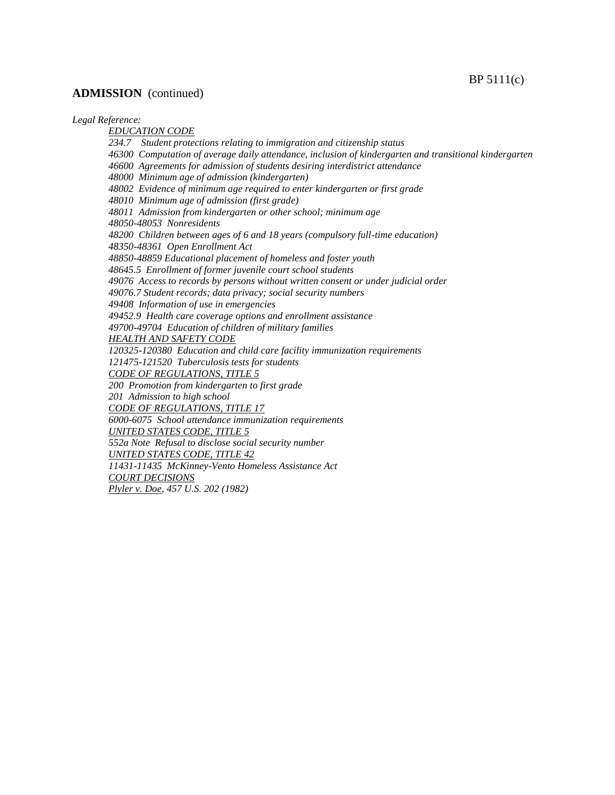### **ADMISSION** (continued)

#### *Legal Reference:*

*EDUCATION CODE 234.7 Student protections relating to immigration and citizenship status 46300 Computation of average daily attendance, inclusion of kindergarten and transitional kindergarten 46600 Agreements for admission of students desiring interdistrict attendance 48000 Minimum age of admission (kindergarten) 48002 Evidence of minimum age required to enter kindergarten or first grade 48010 Minimum age of admission (first grade) 48011 Admission from kindergarten or other school; minimum age 48050-48053 Nonresidents 48200 Children between ages of 6 and 18 years (compulsory full-time education) 48350-48361 Open Enrollment Act 48850-48859 Educational placement of homeless and foster youth 48645.5 Enrollment of former juvenile court school students 49076 Access to records by persons without written consent or under judicial order 49076.7 Student records; data privacy; social security numbers 49408 Information of use in emergencies 49452.9 Health care coverage options and enrollment assistance 49700-49704 Education of children of military families HEALTH AND SAFETY CODE 120325-120380 Education and child care facility immunization requirements 121475-121520 Tuberculosis tests for students CODE OF REGULATIONS, TITLE 5 200 Promotion from kindergarten to first grade 201 Admission to high school CODE OF REGULATIONS, TITLE 17 6000-6075 School attendance immunization requirements UNITED STATES CODE, TITLE 5 552a Note Refusal to disclose social security number UNITED STATES CODE, TITLE 42 11431-11435 McKinney-Vento Homeless Assistance Act COURT DECISIONS Plyler v. Doe, 457 U.S. 202 (1982)*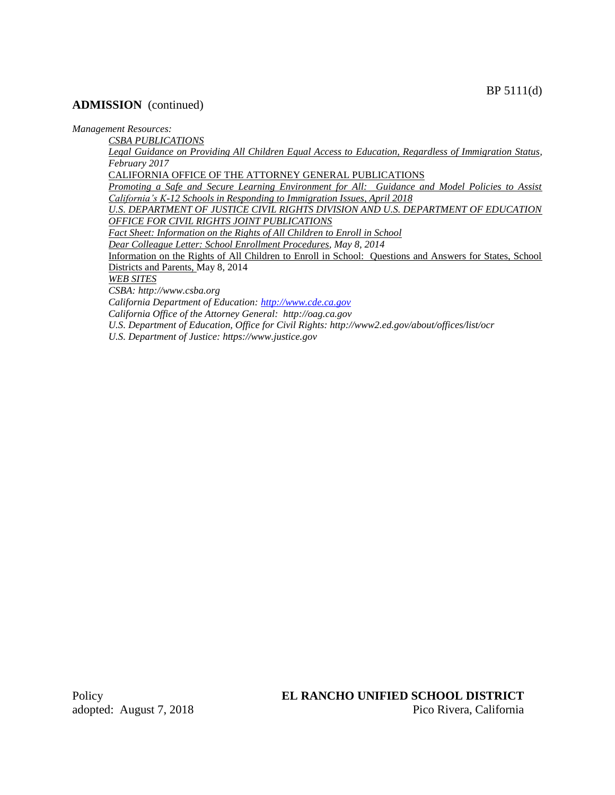### **ADMISSION** (continued)

*Management Resources:*

*CSBA PUBLICATIONS*

*Legal Guidance on Providing All Children Equal Access to Education, Regardless of Immigration Status, February 2017*

CALIFORNIA OFFICE OF THE ATTORNEY GENERAL PUBLICATIONS

*Promoting a Safe and Secure Learning Environment for All: Guidance and Model Policies to Assist California's K-12 Schools in Responding to Immigration Issues, April 2018*

*U.S. DEPARTMENT OF JUSTICE CIVIL RIGHTS DIVISION AND U.S. DEPARTMENT OF EDUCATION OFFICE FOR CIVIL RIGHTS JOINT PUBLICATIONS*

*Fact Sheet: Information on the Rights of All Children to Enroll in School*

*Dear Colleague Letter: School Enrollment Procedures, May 8, 2014*

Information on the Rights of All Children to Enroll in School: Questions and Answers for States, School Districts and Parents, May 8, 2014

*WEB SITES*

*CSBA: http://www.csba.org*

*California Department of Education[: http://www.cde.ca.gov](http://www.cde.ca.gov/) California Office of the Attorney General: http://oag.ca.gov*

*U.S. Department of Education, Office for Civil Rights: http://www2.ed.gov/about/offices/list/ocr*

*U.S. Department of Justice: https://www.justice.gov*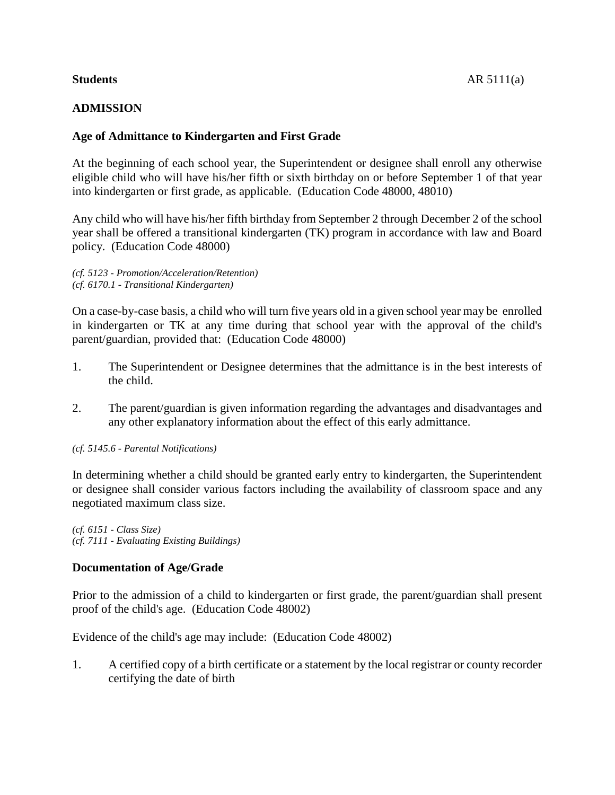### **Students** AR 5111(a)

# **ADMISSION**

# **Age of Admittance to Kindergarten and First Grade**

At the beginning of each school year, the Superintendent or designee shall enroll any otherwise eligible child who will have his/her fifth or sixth birthday on or before September 1 of that year into kindergarten or first grade, as applicable. (Education Code 48000, 48010)

Any child who will have his/her fifth birthday from September 2 through December 2 of the school year shall be offered a transitional kindergarten (TK) program in accordance with law and Board policy. (Education Code 48000)

*(cf. 5123 - Promotion/Acceleration/Retention) (cf. 6170.1 - Transitional Kindergarten)*

On a case-by-case basis, a child who will turn five years old in a given school year may be enrolled in kindergarten or TK at any time during that school year with the approval of the child's parent/guardian, provided that: (Education Code 48000)

- 1. The Superintendent or Designee determines that the admittance is in the best interests of the child.
- 2. The parent/guardian is given information regarding the advantages and disadvantages and any other explanatory information about the effect of this early admittance.

*(cf. 5145.6 - Parental Notifications)*

In determining whether a child should be granted early entry to kindergarten, the Superintendent or designee shall consider various factors including the availability of classroom space and any negotiated maximum class size.

*(cf. 6151 - Class Size) (cf. 7111 - Evaluating Existing Buildings)*

# **Documentation of Age/Grade**

Prior to the admission of a child to kindergarten or first grade, the parent/guardian shall present proof of the child's age. (Education Code 48002)

Evidence of the child's age may include: (Education Code 48002)

1. A certified copy of a birth certificate or a statement by the local registrar or county recorder certifying the date of birth